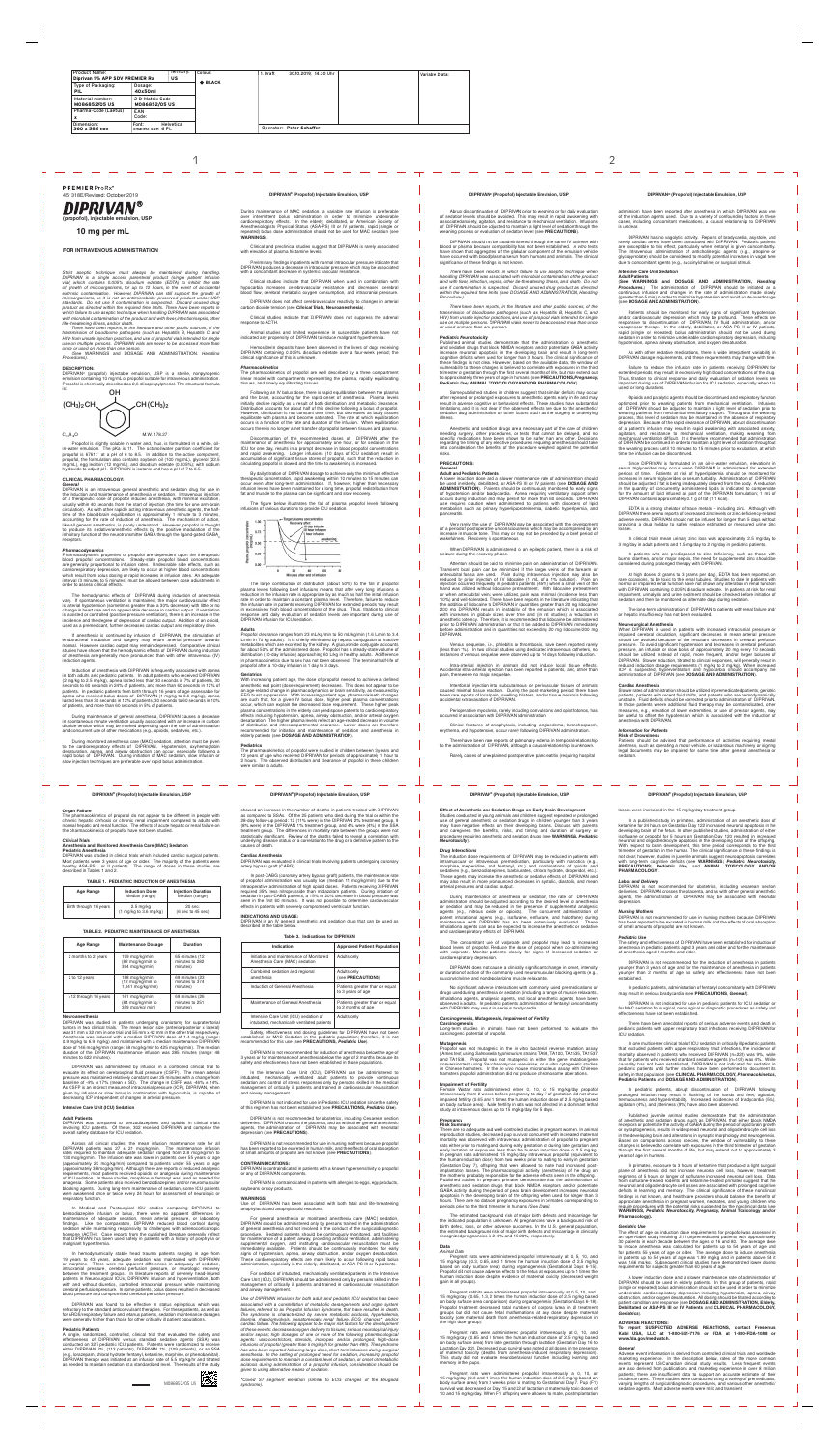# **FOR INTRAVENOUS ADMINISTRATION**

*There have been reports, in the literature and other public sources, of the transmission of bloodborne pathogens (such as Hepatitis B, Hepatitis C, and*  HIV) from unsafe injection practices, and use of propofol vials intended for single<br>use on multiple persons. DIPRIVAN vials are never to be accessed more than<br>once or used on more than one person.<br>(See WARNINGS and DOSA

*Strict aseptic technique must always be maintained during handling. DIPRIVAN is a single access parenteral product (single patient infusion vial) which contains 0.005% disodium edetate (EDTA) to inhibit the rate*  of growth of microorganisms, for up to 12 hours, in the event of accidental<br>extrinsic contamination. However, DIPRIVAN can still support the growth of *microorganisms, as it is not an antimicrobially preserved product under USP*  standards. Do not use if contamination is suspected. Discard unused drug<br>product as directed within the required time limits. There have been reports in<br>which failure to use aseptic technique when handling DIPRIVAN was ass with microbial contamination of the product and with fever, infection/sepsis, other *life-threatening illness, and/or death.*

DIPRIVAN® (propofol) injectable emulsion, USP is a sterile, nonpyrogenic emulsion containing 10 mg/mL of propofol suitable for intravenous administration.<br>Propofol is chemically described as 2,6-diisopropylphenol. The structural formula<br>is:

Propofol is slightly soluble in water and, thus, is formulated in a white, oilin-water emulsion. The pKa is 11. The octanol/water partition coefficient for propofol is 6761:1 at a pH of 6 to 8.5. In addition to the active component, propofol, the formulation also contains soybean oil (100 mg/mL), glycerol (22.5<br>mg/mL), egg lecithin (12 mg/mL); and disodium edetate (0.005%); with sodium<br>hydroxide to adjust pH. DIPRIVAN is isotonic and has a pH of 7 to

*Procedures).*

## **DESCRIPTION:**

# **CLINICAL PHARMACOLOGY:**

*General* DIPRIVAN is an intravenous general anesthetic and sedation drug for use in the induction and maintenance of anesthesia or sedation. Intravenous injection<br>of a therapeutic dose of propofol induces anesthesia, with minimal excitation,<br>usually within 40 seconds from the start of injection (the time circulation). As with other rapidly acting intravenous anesthetic agents, the half-<br>time of the blood-brain equilibration is approximately 1 minute to 3 minutes,<br>accounting for the rate of induction of anesthesia. The mech like all general anesthetics, is poorly understood. However, propofol is thought to produce its sedative/anesthetic effects by the positive modulation of the<br>inhibitory function of the neurotransmitter GABA through the ligand-gated GABA<sub>A</sub> receptors.

The pharmacokinetics of propofol do not appear to be different in people with chronic hepatic cirrhosis or chronic renal impairment compared to adults with<br>normal hepatic and renal function. The effects of acute hepatic or renal failure on<br>the pharmacokinetics of propofol have not been studied.

#### *Pharmacodynamics*

Pharmacodynamic properties of propofol are dependent upon the therapeutic blood propofol concentrations. Steady-state propofol blood concentrations are generally proportional to infusion rates. Undesirable side effects, such as cardiorespiratory depression, are likely to occur at higher blood concentrations which result from bolus dosing or rapid increases in infusion rates. An adequate interval (3 minutes to 5 minutes) must be allowed between dose adjustments in order to assess clinical effects.

The hemodynamic effects of DIPRIVAN during induction of anesthesia vary. If spontaneous ventilation is maintained, the major cardiovascular effect is arterial hypotension (sometimes greater than a 30% decrease) with little or no<br>change in heart rate and no appreciable decrease in cardiac output. If ventilation<br>is assisted or controlled (positive pressure ventilation) incidence and the degree of depression of cardiac output. Addition of an opioid, used as a premedicant, further decreases cardiac output and respiratory drive.

If anesthesia is continued by infusion of DIPRIVAN, the stimulation of endotracheal intubation and surgery may return arterial pressure towards<br>normal. However, cardiac output may remain depressed. Comparative clinical<br>studies have shown that the hemodynamic effects of DIPRIVAN during inducti of anesthesia are generally more pronounced than with other intravenous (IV) induction agents.

DIPRIVAN was compared to benzodiazepines and opioids in clinical trials<br>involving ICU patients. Of these, 302 received DIPRIVAN and comprise the involving ICU patients. Of these, 302 received DIPRIVAN and comprise the overall safety database for ICU sedation.

Induction of anesthesia with DIPRIVAN is frequently associated with apnea in both adults and pediatric patients. In adult patients who received DIPRIVAN (2 mg/kg to 2.5 mg/kg), apnea lasted less than 30 seconds in 7% of patients, 30<br>seconds to 60 seconds in 24% of patients, and more than 60 seconds in 12% of<br>patients. In pediatric patients from birth through 16 years of ag lasted less than 30 seconds in 12% of patients, 30 seconds to 60 seconds in 10% of patients, and more than 60 seconds in 5% of patients.

During maintenance of general anesthesia, DIPRIVAN causes a decrease in spontaneous minute ventilation usually associated with an increase in carbon dioxide tension which may be marked depending upon the rate of administration and concurrent use of other medications (e.g., opioids, sedatives, etc.).

During monitored anesthesia care (MAC) sedation, attention must be given to the cardiorespiratory effects of DIPRIVAN. Hypotension, oxyhemoglobin desaturation, apnea, and airway obstruction can occur, especially following a rapid bolus of DIPRIVAN. During initiation of MAC sedation, slow infusion or slow injection techniques are preferable over rapid bolus administration.

# والمستوار المستوار المستوار المستوار

A single, randomized, controlled, clinical trial that evaluated the safety and<br>effectiveness of DIPRIVAN versus standard sedative agents (SSA) was<br>conducted on 327 pediatric ICU patients. Patients were randomized to receiv either DIPRIVAN 2%, (113 patients), DIPRIVAN 1%, (109 patients), or an SSA (e.g., lorazepam, chloral hydrate, fentanyl, ketamine, morphine, or phenobarbital). DIPRIVAN therapy was initiated at an infusion rate of 5.5 mg/kg/hr and titrated as needed to maintain sedation at a standardized level. The results of the study

# **Organ Failure**

### *Clinical Trials* **Anesthesia and Monitored Anesthesia Care (MAC) Sedation Pediatric Anesthesia**

DIPRIVAN was studied in clinical trials which included cardiac surgical patients. Most patients were 3 years of age or older. The majority of the patients were healthy ASA-PS I or II patients. The range of doses in these studies are described in Tables 1 and 2.

### **TABLE 1. PEDIATRIC INDUCTION OF ANESTHESIA**

| Age Range              | <b>Induction Dose</b><br>Median (range)                           | <b>Injection Duration</b><br>Median (range)     |
|------------------------|-------------------------------------------------------------------|-------------------------------------------------|
| Birth through 16 years | $2.5 \text{ mg/kg}$<br>$(1 \text{ mg/kg}$ to $3.6 \text{ mg/kg})$ | 20 sec.<br>$(6 \text{ sec to } 45 \text{ sec})$ |

# **TABLE 2. PEDIATRIC MAINTENANCE OF ANESTHESIA**

Safety, effectiveness and dosing guidelines for DIPRIVAN have not been established for MAC Sedation in the pediatric population; therefore, it is not established for MAC Sedation in the pediatric population; therefore, it is not recommended for this use (see **PRECAUTIONS,** *Pediatric Use*).

| Age Range            | <b>Maintenance Dosage</b>                                | <b>Duration</b>                              |
|----------------------|----------------------------------------------------------|----------------------------------------------|
| 2 months to 2 years  | 199 mcg/kg/min<br>(82 mcg/kg/min to<br>394 mcg/kg/min)   | 65 minutes (12<br>minutes to 282<br>minutes) |
| 2 to 12 years        | 188 mcg/kg/min<br>(12 mcg/kg/min to<br>1,041 mcg/kg/min) | 69 minutes (23<br>minutes to 374<br>minutes) |
| >12 through 16 years | 161 mcg/kg/min<br>(84 mcg/kg/min to<br>359 mcg/kg/ min)  | 69 minutes (26<br>minutes to 251<br>minutes) |

#### **Neuroanesthesia**

DIPRIVAN was studied in patients undergoing craniotomy for supratentorial tumors in two clinical trials. The mean lesion size (anterior/posterior x lateral) was 31 mm x 32 mm in one trial and 55 mm x 42 mm in the other trial respectively. Anesthesia was induced with a median DIPRIVAN dose of 1.4 mg/kg (range: 0.9 mg/kg to 6.9 mg/kg) and maintained with a median maintenance DIPRIVAN dose of 146 mcg/kg/min (range: 68 mcg/kg/min to 425 mcg/kg/min). The median duration of the DIPRIVAN maintenance infusion was 285 minutes (range: 48 duration of the DIPRIVAN maintenance infusion was 285 minutes to 622 minutes).

> For general anesthesia or monitored anesthesia care (MAC) sedation, DIPRIVAN should be administered only by persons trained in the administered of general anesthesia and not involved in the conduct of the surgical/diagnostic procedure. Sedated patients should be continuously monitored, and facilities for maintenance of a patent airway, providing artificial ventilation, administering<br>supplemental oxygen, and instituting cardiovascular resuscitation must be<br>immediately available. Patients should be continuously monitored signs of hypotension, apnea, airway obstruction, and/or oxygen desaturation.<br>These cardiorespiratory effects are more likely to occur following rapid bolus<br>administration, especially in the elderly, debilitated, or ASA-PS

DIPRIVAN was administered by infusion in a controlled clinical trial to evaluate its effect on cerebrospinal fluid pressure (CSFP). The mean arterial<br>pressure was maintained relatively constant over 25 minutes with a change from<br>baseline of -4% ± 17% (mean ± SD). The change in CSFP was -46% ± As CSFP is an indirect measure of intracranial pressure (ICP), DIPRIVAN, when given by infusion or slow bolus in combination with hypocarbia, is capable of decreasing ICP independent of changes in arterial pressure.

# **Intensive Care Unit (ICU) Sedation**

#### **Adult Patients**

Across all clinical studies, the mean infusion maintenance rate for all DIPRIVAN patients was 27 ± 21 mcg/kg/min. The maintenance infusion rates required to maintain adequate sedation ranged from 2.8 mcg/kg/min to 130 mcg/kg/min. The infusion rate was lower in patients over 55 years of age (approximately 20 mcg/kg/min) compared to patients under 55 years of age (approximately 38 mcg/kg/min). Although there are reports of reduced analgesic requirements, most patients received opioids for analgesia during maintenance of ICU sedation. In these studies, morphine or fentanyl was used as needed for<br>analgesia. Some patients also received benzodiazepines and/or neuromuscular<br>blocking agents. During long-term maintenance of sedation, some were awakened once or twice every 24 hours for assessment of neurologic or respiratory function.

In Medical and Postsurgical ICU studies comparing DIPRIVAN to benzodiazepine infusion or bolus, there were no apparent differences in maintenance of adequate sedation, mean arterial pressure, or laboratory findings. Like the comparators, DIPRIVAN reduced blood cortisol during sedation while maintaining responsivity to challenges with adrenocorticotropic hormone (ACTH). Case reports from the published literature generally reflect that DIPRIVAN has been used safely in patients with a history of porphyria or malignant hyperthermia.

Some published studies in children suggest that similar deficits may occur after repeated or prolonged exposures to anesthetic agents early in life and may result in adverse cognitive or behavioral effects. These studies have substantial limitations, and it is not clear if the observed effects are due to the anesthetic/<br>sedation drug administration or other factors such as th

In hemodynamically stable head trauma patients ranging in age from 19 years to 43 years, adequate sedation was maintained with DIPRIVAN or morphine. There were no apparent differences in adequacy of sedation, intracranial pressure, cerebral perfusion pressure, or neurologic recovery between the treatment groups. In literature reports of severely head-injured<br>patients in Neurosurgical ICUs, DIPFIVAN infusion and hyperventilation, both<br>with and without diuretics, controlled intracranial pressure while m cerebral perfusion pressure. In some patients, bolus doses resulted in decreased blood pressure and compromised cerebral perfusion pressure.

Very rarely the use of DIPRIVAN may be associated with the development of a period of postoperative unconsciousness which may be accompanied by an increase in muscle tone. This may or may not be preceded by a brief period of wakefulness. Recovery is spontane

DIPRIVAN was found to be effective in status epilepticus which was refractory to the standard anticonvulsant therapies. For these patients, as well as for ARDS/respiratory failure and tetanus patients, sedation maintenance dosages were generally higher than those for other critically ill patient populations.

### **Pediatric Patients**

Intra-arterial injection in animals did not induce local tissue effects. Accidental intra-arterial injection has been reported in patients, and, other than pain, there were no major sequelae.

Intentional injection into subcutaneous or perivascular tissues of animals<br>caused minimal tissue reaction. During the post-marketing period, there have<br>been rare reports of local pain, swelling, blisters, and/or tissue nec

showed an increase in the number of deaths in patients treated with DIPRIVAN as compared to SSAs. Of the 25 patients who died during the trial or within the 28-day follow-up period: 12 (11% were) in the DIPRIVAN 2% treatment group, 9 (8% were) in the DIPRIVAN 1% treatment group, and 4% were (4%) in the SSA treatment group. The differences in mortality rate between the groups were not statistically significant. Review of the deaths failed to reveal a correlation with underlying disease status or a correlation to the drug or a definitive pattern to the causes of death.

### **Cardiac Anesthesia**

DIPRIVAN was evaluated in clinical trials involving patients undergoing coronary artery bypass graft (CABG).

In post-CABG (coronary artery bypass graft) patients, the maintenance rate<br>of propofol administration was usually low (median 11 mcg/kg/min) due to the<br>intraoperative administration of high opioid doses. Patients receiving required 35% less nitroprusside than midazolam patients. During initiation of sedation in post-CABG patients, a 15% to 20% decrease in blood pressure was seen in the first 60 minutes. It was not possible to determine cardiovascular effects in patients with severely compromised ventricular function.

# **INDICATIONS AND USAGE:**

DIPRIVAN is an IV general anesthetic and sedation drug that can be used as described in the table below.

### **Table 3. Indications for DIPRIVAN**

Failure to reduce the infusion rate in patients receiving DIPRIVAN for<br>extended periods may result in excessively high blood concentrations of the drug.<br>Thus, titration to clinical response and daily evaluation of sedation important during use of DIPRIVAN infusion for ICU sedation, especially when it is used for long durations.

| Indication                                                                           | <b>Approved Patient Population</b>                   |  |
|--------------------------------------------------------------------------------------|------------------------------------------------------|--|
| Initiation and maintenance of Monitored<br>Anesthesia Care (MAC) sedation            | Adults only                                          |  |
| Combined sedation and regional<br>anesthesia                                         | Adults only<br>(see PRECAUTIONS)                     |  |
| Induction of General Anesthesia                                                      | Patients greater than or equal<br>to 3 years of age  |  |
| Maintenance of General Anesthesia                                                    | Patients greater than or equal<br>to 2 months of age |  |
| Intensive Care Unit (ICU) sedation of<br>intubated, mechanically ventilated patients | Adults only                                          |  |

DIPRIVAN is not recommended for induction of anesthesia below the age of 3 years or for maintenance of anesthesia below the age of 2 months because its safety and effectiveness have not been established in those populations.

Since DIPRIVAN is formulated in an oil-in-water emulsion, elevations in serum triglycerides may occur when DIPRIVAN is administered for extended for extended periods of time. Patients at risk of hyperlipidemia should be mo increases in serum triglycerides or serum turbidity. Administration of DIPRIVAN should be adjusted if fat is being inadequately cleared from the body. A reduction<br>in the quantity of concurrently administered lipids is indicated to compensate<br>for the amount of lipid infused as part of the DIPRIVAN form DIPRIVAN contains approximately 0.1 g of fat (1.1 kcal).

In the Intensive Care Unit (ICU), DIPRIVAN can be administered to intubated, mechanically ventilated adult patients to provide continuous sedation and control of stress responses only by persons skilled in the medical ent of critically ill patients and trained in cardiovascular resuscitation and airway management.

In patients who are predisposed to zinc deficiency, such as those with s. diarrhea, and/or maior sepsis, the need for supplemental zinc should be burns, diarrhea, and/or major sepsis, the need for supplemental zinc should be considered during prolonged therapy with DIPRIVAN.

DIPRIVAN is not indicated for use in Pediatric ICU sedation since the safety of this regimen has not been established (see **PRECAUTIONS,** *Pediatric Use*).

DIPRIVAN is not recommended for obstetrics, including Cesarean section deliveries. DIPRIVAN crosses the placenta, and as with other general anesthetic agents, the administration of DIPRIVAN may be associated with neonatal depression (see **PRECAUTIONS**).

DIPRIVAN is not recommended for use in nursing mothers because propofol has been reported to be excreted in human milk, and the effects of oral absorption of small amounts of propofol are not known (see **PRECAUTIONS**).

### **CONTRAINDICATIONS:**

DIPRIVAN is contraindicated in patients with a known hypersensitivity to propofol or any of DIPRIVAN components.

When DIPRIVAN is used in patients with increased intracranial pressure or impaired cerebral circulation, significant decreases in mean arterial pressure should be avoided because of the resultant decreases in cerebral perfusion pressure. To avoid significant hypotension and decreases in cerebral perfusion pressure, an infusion or slow bolus of approximately 20 mg every 10 seconds should be utilized instead of rapid, more frequent, and/or larger boluses of DIPRIVAN. Slower induction, titrated to clinical responses, will generally result in reduced induction dosage requirements (1 mg/kg to 2 mg/kg). When increased ICP is suspected, hyperventilation and hypocarbia should accompany the administration of DIPRIVAN (see **DOSAGE AND ADMINISTRATION**).

DIPRIVAN is contraindicated in patients with allergies to eggs, egg products, soybeans or soy products.

### **WARNINGS:**

Use of DIPRIVAN has been associated with both fatal and life-threatening anaphylactic and anaphylactoid reactions.

Slower rates of administration should be utilized in premedicated patients, geriatric<br>patients, patients with recent fluid shifts, and patients who are hemodynamically<br>unstable. Fluid deficits should be corrected prior to In those patients where additional fluid therapy may be contraindicated, other<br>measures, e.g., elevation of lower extremities, or use of pressor agents, may<br>be useful to offset the hypotension which is associated with the anesthesia with DIPRIVAN.

The induction dose requirements of DIPRIVAN may be reduced in patients with intramuscular or intravenous premedication, particularly with narcotics (e.g., intramuscular or intravenous premedication, particularly with narcotics (e.g., morphine, meperidine, and fentanyl, etc.) and combinations of opioids and sedatives (e.g., benzodiazepines, barbiturates, chloral hydrate, droperidol, etc.) These agents may increase the anesthetic or sedative effects of DIPRIVAN and may also result in more pronounced decreases in systolic, diastolic, and me arterial pressures and cardiac output.

For sedation of intubated, mechanically ventilated patients in the Intensive Care Unit (ICU), DIPRIVAN should be administered only by persons skilled in the management of critically ill patients and trained in cardiovascular resuscitation and airway management.

**Carcinoge** Long-term studies in animals have not been performed to evaluate the carcinogenic potential of propofol.

*Use of DIPRIVAN infusions for both adult and pediatric ICU sedation has been associated with a constellation of metabolic derangements and organ system*  failures, referred to as Propofol Infusion Syndrome, that have resulted in death The syndrome is characterized by severe metabolic acidosis, hyperkalemia,<br>lipemia, rhabdomyolysis, hepatomegaly, renal failure, ECG changes\* and/or *cardiac failure. The following appear to be major risk factors for the development*  of these events: decreased oxygen delivery to tissues; serious neurological injury<br>and/or sepsis; high dosages of one or more of the following pharmacological<br>agents: vasoconstrictors, steroids, inotropes and/or *infusions of propofol (greater than 5 mg/kg/h for greater than 48h). The syndrome*  has also been reported following large-dose, short-term infusions during surgical<br>anesthesia. In the setting of prolonged need for sedation, increasing propofol<br>dose requirements to maintain a constant level of sedation, *acidosis during administration of a propofol infusion, consideration should be given to using alternative means of sedation.*

*\*Coved ST segment elevation (similar to ECG changes of the Brugada syndrome).*

Abrupt discontinuation of DIPRIVAN prior to weaning or for daily evaluation of sedation levels should be avoided. This may result in rapid awakening with<br>associated anxiety, agitation, and resistance to mechanical ventilation. Infusions<br>of DIPRIVAN should be adjusted to maintain a light level of weaning process or evaluation of sedation level (see **PRECAUTIONS**).

DIPRIVAN should not be coadministered through the same IV catheter with blood or plasma because compatibility has not been established. *In vitro* tests have shown that aggregates of the globular component of the emulsion vehicle have occurred with blood/plasma/serum from humans and animals. The clinical significance of these findings is not known.

*There have been reports in which failure to use aseptic technique when handling DIPRIVAN was associated with microbial contamination of the product and with fever, infection, sepsis, other life-threatening illness, and death. Do not use if contamination is suspected. Discard unused drug product as directed within the required time limits (see DOSAGE AND ADMINISTRATION, Handling Procedures).*

*There have been reports, in the literature and other public sources, of the*  transmission of bloodborne pathogens (such as Hepatitis B, Hepatitis C, and<br>HIV) from unsafe injection practices, and use of propofol vials intended for single<br>use on multiple persons. DIPRIVAN vial is never to be accessed *or used on more than one person.*

## *Pediatric Neurotoxicity*

isoflurane or propofol for 5 hours on Gestation Day 120 resulted in increased neuronal and oligodendrocyte apoptosis in the developing brain of the offspring. With respect to brain development, this time period corresponds to the third trimester of gestation in the human. The clinical significance of these findings is not clear; however, studies in juvenile animals suggest neuroapoptosis correlates<br>with long-term cognitive deficits (see **WARNINGS; Pediatric Neurotoxicity,**<br> PRECAUTIONS; *Pediatric Use*, and ANIMAL TOXIC **PHARMACOLOGY**).

Published animal studies demonstrate that the administration of anesthetic and sedation drugs that block NMDA receptors and/or potentiate GABA activity increase neuronal apoptosis in the developing brain and result in long-term cognitive deficits when used for longer than 3 hours. The clinical significance of these findings is not clear. However, based on the available data, the window of vulnerability to these changes is believed to correlate with exposures in the third<br>trimester of gestation through the first several months of life, but may extend out<br>to approximately three years of age in humans (see PRE *Pediatric Use;* **ANIMAL TOXICOLOGY AND/OR PHARMACOLOGY**).

> In one multicenter clinical trial of ICU sedation in critically ill pediatric patients that excluded patients with upper respiratory tract infections, the incidence of mortality observed in patients who received DIPRIVAN (n=222) was 9%, while that for patients who received standard sedative agents (n=105) was 4%. While causality has not been established, DIPRIVAN is not indicated for sedation in pediatric patients until further studies have been performed to document its safety in that population (see **CLINICAL PHARMACOLOGY,** *Pharmacokinetics,*  **Pediatric Patients** and **DOSAGE AND ADMINISTRATION**).

Anesthetic and sedation drugs are a necessary part of the care of children needing surgery, other procedures, or tests that cannot be delayed, and no specific medications have been shown to be safer than any other. Decisions regarding the timing of any elective procedures requiring anesthesia should take into consideration the benefits of the procedure weighed against the potential risks.

# **PRECAUTIONS:**

# *General* **Adult and Pediatric Patients**

A lower induction dose and a slower maintenance rate of administration should be used in elderly, debilitated, or ASA-PS III or IV patients (see **DOSAGE AND ADMINISTRATION**). Patients should be continuously monitored for early signs of hypotension and/or bradycardia. Apnea requiring ventilatory support often occurs during induction and may persist for more than 60 seconds. DIPRIVAN<br>use requires caution when administered to patients with disorders of lipid<br>metabolism such as primary hyperlipoproteinemia, diabetic hyperlipemia, pancreatitis.

> In primates, exposure to 3 hours of ketamine that produced a light surgical<br>plane of anesthesia did not increase neuronal cell loss, however, treatment<br>regimens of 5 hours or longer of isoflurane increased neuronal cell lo from isoflurane-treated rodents and ketamine-treated primates suggest that the neuronal and oligodendrocyte cell losses are associated with prolonged cognitive deficits in learning and memory. The clinical significance of these nonclinical findings is not known, and healthcare providers should balance the benefits of<br>appropriate anesthesia in pregnant women, neonates, and young children who<br>require procedures with the potential risks suggested by the nonclin **WARNINGS,** *Pediatric Neurotoxicity, Pregnancy,* **Animal Toxicology and/or Pharmacology).**

When DIPRIVAN is administered to an epileptic patient, there is a risk of seizure during the recovery phase.

> ver induction dose and a slower maintenance rate of administration o DIPRIVAN should be used in elderly patients. In this group of patients, rapid (single or repeated) bolus administration should not be used in order to minimize undesirable cardiorespiratory depression including hypotension, apnea, airway obstruction, and/or oxygen desaturation. All dosing should be titrated according to patient condition and response (see **DOSAGE AND ADMINISTRATION, Elderly, Debilitated or ASA-PS III or IV Patients** and **CLINICAL PHARMACOLOGY,**  *Geriatrics*).

Attention should be paid to minimize pain on administration of DIPRIVAN. Transient local pain can be minimized if the larger veins of the forearm or antecubital fossa are used. Pain during intravenous injection may also be<br>reduced by prior injection of IV lidocaine (1 mL of a 1% solution). Pain on<br>injection occurred frequently in pediatric patients (45%) when a small v hand was utilized without lidocaine pretreatment. With lidocaine pretreatment or when antecubital veins were utilized, pain was minimal (incidence less than<br>10%) and well-tolerated. There have been reports in the literature indicating that<br>the addition of lidocaine to DIPRIVAN in quantities greater 200 mg DIPRIVAN results in instability of the emulsion which is associated with increases in globule sizes over time and (in rat studies) a reduction in anesthetic potency. Therefore, it is recommended that lidocaine be ad before administration and in quantities not exceeding 20 mg lidocaine/200 mg DIPRIVAN.

**PREMIERProRx\*** 451318E/Revised: October 2019

> Clinical and preclinical studies suggest that DIPRIVAN is rarely associated with elevation of plasma histamine levels.

> Clinical studies indicate that DIPRIVAN when used in combination with hypocarbia increases cerebrovascular resistance and decreases cerebral blood flow, cerebral metabolic oxygen consumption, and intracranial pressure.

> > Venous sequelae, i.e., phlebitis or thrombosis, have been reported rarely (less than 1%). In two clinical studies using dedicated intravenous catheters, no instances of venous sequelae were observed up to 14 days following induction.



Hemosiderin deposits have been observed in the livers of dogs receiving DIPRIVAN containing 0.005% disodium edetate over a four-week period; the clinical significance of this is unknown.

Following an IV bolus dose, there is rapid equilibration between the plasma and the brain, accounting for the rapid onset of anesthesia. Plasma levels initially decline rapidly as a result of both distribution and metabolic clearance Distribution accounts for about half of this decline following a bolus of propofol. However, distribution is not constant over time, but decreases as body tissues equilibrate with plasma and become saturated. The rate at which equilibration occurs is a function of the rate and duration of the infusion. When equilibration occurs there is no longer a net transfer of propofol between tissues and plas

Discontinuation of the recommended doses of DIPRIVAN after the maintenance of anesthesia for approximately one hour, or for sedation in the ICU for one day, results in a prompt decrease in blood propofol concentrations and rapid for original and rapid for appropriations accumulation o circulating propofol is slowed and the time to awakening is increased.

Perioperative myoclonia, rarely including convulsions and opisthotonos, has occurred in association with DIPRIVAN administration.

Clinical features of anaphylaxis, including angioedema, bronchospasm, erythema, and hypotension, occur rarely following DIPRIVAN administration.

There have been rare reports of pulmonary edema in temporal relationship<br>to the administration of DIPRIVAN, although a causal relationship is unknown. tration of DIPRIVAN, although a causal relations

Rarely, cases of unexplained postoperative pancreatitis (requiring hospital

# **Effect of Anesthetic and Sedation Drugs on Early Brain Developr**

Studies conducted in young animals and children suggest repeated or prolonged<br>use of general anesthetic or sedation drugs in children younger than 3 years<br>may have negative effects on their developing brains. Discuss with

admission) have been reported after anesthesia in which DIPRIVAN was one of the induction agents used. Due to a variety of confounding factors in these cases, including concomitant medications, a causal relationship to DIPRIVAN is unclear.

DIPRIVAN has no vagolytic activity. Reports of bradycardia, asystole, and<br>rarely, cardiac arrest have been associated with DIPRIVAN. Pediatric patients<br>are susceptible to this effect, particularly when fentanyl is given co The intravenous administration of anticholinergic agents (e.g., atropine or<br>glycopyrrolate) should be considered to modify potential increases in vagal tone<br>due to concomitant agents (e.g., succinylcholine) or surgical sti

The large contribution of distribution (about 50%) to the fall of propofol plasma levels following brief infusions means that after very long infusions a<br>reduction in the infusion rate is appropriate by as much as half the initial infusion<br>rate in order to maintain a constant plasma level. Theref in excessively high blood concentrations of the drug. Thus, titration to clinical response and daily evaluation of sedation levels are important during use of DIPRIVAN infusion for ICU sedation.

Adults<br>Propofol clearance ranges from 23 mL/kg/min to 50 mL/kg/min (1.6 L/min to 3.4<br>L/min in 70 kg adults). It is chiefly eliminated by hepatic conjugation to inactive<br>metabolites which are excreted by the kidney. A glucu for about 50% of the administered dose. Propofol has a steady-state volume of distribution (10-day infusion) approaching 60 L/kg in healthy adults. A difference in pharmacokinetics due to sex has not been observed. The terminal half-life of propofol after a 10-day infusion is 1 day to 3 days.

# *Intensive Care Unit Sedation*

**Adult Patients** (**See WARNINGS and DOSAGE AND ADMINISTRATION,** *Handling Procedures***.**) The administration of DIPRIVAN should be initiated as a continuous infusion and changes in the rate of administration made slowly (greater than 5 min) in order to minimize hypotension and avoid acute overdosage (see **DOSAGE AND ADMINISTRATION**).

The pharmacokinetics of propofol were studied in children between 3 years and<br>12 years of age who received DIPRIVAN for periods of approximately 1 hour to<br>2 hours. The observed distribution and clearance of propofol in th were similar to adults.

# **DIPRIVAN®** (Propofol) Injectable Emulsion, USP **DIPRIVAN®** (Propofol) Injectable Emulsion, USP **DIPRIVAN®** (Propofol) Injectable Emulsion, USP **DIPRIVAN®** (Propofol) Injectable Emulsion, USP **DIPRIVAN®** (Propofol) Inject

المستردد المستردد المسترد

# DIPRIVAN ∎® **(propofol), injectable emulsion, USP**

Patients should be monitored for early signs of significant hypotension and/or cardiovascular depression, which may be profound. These effects are responsive to discontinuation of DIPRIVAN, IV fluid administration, and/or vasopressor therapy. In the elderly, debilitated, or ASA-PS III or IV patients,<br>rapid (single or repeated) bolus administration should not be used during<br>sedation in order to minimize undesirable cardiorespiratory depressi hypotension, apnea, airway obstruction, and oxygen desaturation.

As with other sedative medications, there is wide interpatient variability in DIPRIVAN dosage requirements, and these requirements may change with time.

Opioids and paralytic agents should be discontinued and respiratory function optimized prior to weaning patients from mechanical ventilation. Infusions<br>of DIPRIVAN should be adjusted to maintain a light level of sedation prior to<br>weaning patients from mechanical ventilatory support. Throughout the depression. Because of the rapid clearance of DIPRIVAN, abrupt discontinuation of a patient's infusion may result in rapid awakening with associated anxiety, agitation, and resistance to mechanical ventilation, making weaning from mechanical ventilation difficult. It is therefore recommended that administration of DIPRIVAN be continued in order to maintain a light level of sedation throughout the weaning process until 10 minutes to 15 minutes prior to extubation, at which time the infusion can be discontinued.

EDTA is a strong chelator of trace metals – including zinc. Although with DIPRIVAN there are no reports of decreased zinc levels or zinc deficiency-related adverse events, DIPRIVAN should not be infused for longer than 5 days without providing a drug holiday to safely replace estimated or measured urine zinc losses.

In clinical trials mean urinary zinc loss was approximately 2.5 mg/day to 3 mg/day in adult patients and 1.5 mg/day to 2 mg/day in pediatric patients.

At high doses (2 grams to 3 grams per day), EDTA has been reported, on rare occasions, to be toxic to the renal tubules. Studies to date in patients with normal or impaired renal function have not shown any alteration in renal function with DIPRIVAN containing 0.005% disodium edetate. In patients at risk for renal impairment, urinalysis and urine sediment should be checked before initiation of sedation and then be monitored on alternate days during sedation.

The long-term administration of DIPRIVAN to patients with renal failure and/ or hepatic insufficiency has not been evaluated.

# **Neurosurgical Anesthesia**

#### **Cardiac Anesthesia**

# *Information for Patients*

**Risk of Drowsiness** Patients should be advised that performance of activities requiring mental alertness, such as operating a motor vehicle, or hazardous machinery or signing legal documents may be impaired for some time after general anesthesia or sedation.

procedures requiring anesthetic and sedation drugs (see **WARNINGS,** *Pediatric Neurotoxicity*).

#### *Drug Interactions*

During maintenance of anesthesia or sedation, the rate of DIPRIVAN administration should be adjusted according to the desired level of anesthesia or sedation and may be reduced in the presence of supplemental analgesic agents (e.g., nitrous oxide or opioids). The concurrent administration of<br>potent inhalational agents (e.g., isoflurane, enflurane, and halothane) during<br>maintenance with DIPRIVAN has not been extensively evaluated. These inhalational agents can also be expected to increase the anesthetic or sedative and cardiorespiratory effects of DIPRIVAN.

The concomitant use of valproate and propofol may lead to increased blood levels of propofol. Reduce the dose of propofol when co-administering with valproate. Monitor patients closely for signs of increased sedation or cardiorespiratory depression.

DIPRIVAN does not cause a clinically significant change in onset, intensity or duration of action of the commonly used neuromuscular blocking agents (e.g., succinylcholine and nondepolarizing muscle relaxants).

No significant adverse interactions with commonly used premedications or drugs used during anesthesia or sedation (including a range of muscle relaxants, inhalational agents, analgesic agents, and local anesthetic agents) have been observed in adults. In pediatric patients, administration of fentanyl concomitantly with DIPRIVAN may result in serious bradycardia.

# *Carcinogenesis, Mutagenesis, Impairment of Fertility*

### **Mutagenesis**

Propofol was not mutagenic in the *in vitro* bacterial reverse mutation assay (Ames test) using S*almonella typhimurium* strains TA98, TA100, TA1535, TA1537<br>and TA1538. Propofol was not mutagenic in either the gene mutation/gene<br>conversion test using Sa*ccharomyces cerevisiae*, or *in vitro* cytog in Chinese hamsters. In the *in vivo* mouse micronucleus assay with Chinese hamsters propofol administration did not produce chromosome aberrations.

**Impairment of Fertility** Female Wistar rats administered either 0, 10, or 15 mg/kg/day propofol intravenously from 2 weeks before pregnancy to day 7 of gestation did not show<br>impaired fertility (0.65 and 1 times the human induction dose of 2.5 mg/kg based<br>on body surface area). Male fertility in rats was not affecte study at intravenous doses up to 15 mg/kg/day for 5 days.

### *Pregnancy* **Risk Summary**

There are no adequate and well-controlled studies in pregnant women. In animal reproduction studies, decreased pup survival concurrent with increased maternal mortality was observed with intravenous administration of propofol to pregnant rats either prior to mating and during early gestation or during late gestation and<br>early lactation at exposures less than the human induction dose of 2.5 mg/kg.<br>In pregnant rats administered 15 mg/kg/day intravenous propo the human induction dose) from two weeks prior to mating to early in gestation (Gestation Day 7), offspring that were allowed to mate had increased post-implantation losses. The pharmacological activity (anesthesia) of the drug on the mother is probably responsible for the adverse effects seen in the offspring. Published studies in pregnant primates demonstrate that the administration of anesthetic and sedation drugs that block NMDA receptors and/or potentiate GABA activity during the period of peak brain development increases neuronal apoptosis in the developing brain of the offspring when used for longer than 3 hours. There are no data on pregnancy exposures in primates corresponding to periods prior to the third trimester in humans *[See Data].*

The estimated background risk of major birth defects and miscarriage for the indicated population is unknown. All pregnancies have a background risk of birth defect, loss, or other adverse outcomes. In the U.S. general population, the estimated background risk of major birth defects and miscarriage in clinically recognized pregnancies is 2-4% and 15-20%, respectively.

# **Data** *Animal Data*

Pregnant rats were administered propofol intravenously at 0, 5, 10, and 15 mg/kg/day (0.3, 0.65, and 1 times the human induction dose of 2.5 mg/kg based on body surface area) during organogenesis (Gestational Days 6-15). Propofol did not cause adverse effects to the fetus at exposures up to 1 times the han induction dose despite evidence of maternal toxicity (decreased weight gain in all groups).

Pregnant rabbits were administered propofol intravenously at 0, 5, 10, and 15 mg/kg/day (0.65, 1.3, 2 times the human induction dose of 2.5 mg/kg based on body surface area comparison) during organogenesis (Gestation Days 6-18). Propofol treatment decreased total numbers of corpora lutea in all treatment groups but did not cause fetal malformations at any dose despite maternal toxicity (one maternal death from anesthesia-related respiratory depression in the high dose group).

Pregnant rats were administered propofol intravenously at 0, 10, and 15 mg/kg/day (0.65 and 1 times the human induction dose of 2.5 mg/kg based of 2.5 mg/kg based of 2.5 mg/kg based of 2.5 mg/kg based of 2.5 mg/kg based of 2.5 mg/kg based of 2.5 mg/kg based of 2.5 mg/kg based of 2.5 mg/kg b on body surface area) from late gestation through lactation (Gestation Day 16 to Lactation Day 22). Decreased pup survival was noted at all doses in the presence of maternal toxicity (deaths from anesthesia-induced respiratory depression). This study did not evaluate neurobehavioral function including learning and memory in the pups.

Pregnant rats were administered propofol intravenously at 0, 10, or 15 mg/kg/day (0.3 and 1 times the human induction dose of 2.5 mg/kg based on body surface area) from 2 weeks prior to mating to Gestational Day 7. Pup (F1) survival was decreased on Day 15 and 22 of lactation at maternally toxic doses of 10 and 15 mg/kg/day. When F1 offspring were allowed to mate, postimplantation

losses were increased in the 15 mg/kg/day treatment group.

In a published study in primates, administration of an anesthetic dose of ketamine for 24 hours on Gestation Day 122 increased neuronal apoptosis in the developing brain of the fetus. In other published studies, administration of either

# *Labor and Delivery*

DIPRIVAN is not recommended for obstetrics, including cesarean section deliveries. DIPRIVAN crosses the placenta, and as with other general anesthetic agents, the administration of DIPRIVAN may be associated with neonatal depression.

#### *Nursing Mothers*

DIPRIVAN is not recommended for use in nursing mothers because DIPRIVAN has been reported to be excreted in human milk and the effects of oral absorption of small amounts of propofol are not known.

*Pediatric Use* The safety and effectiveness of DIPRIVAN have been established for induction of anesthesia in pediatric patients aged 3 years and older and for the maintenance of anesthesia aged 2 months and older.

DIPRIVAN is not recommended for the induction of anesthesia in patients younger than 3 years of age and for the maintenance of anesthesia in patients younger than 2 months of age as safety and effectiveness have not been established.

In pediatric patients, administration of fentanyl concomitantly with DIPRIVAN may result in serious bradycardia (see **PRECAUTIONS**, *General*).

DIPRIVAN is not indicated for use in pediatric patients for ICU sedation or for MAC sedation for surgical, nonsurgical or diagnostic procedures as safety and effectiveness have not been established.

There have been anecdotal reports of serious adverse events and death in pediatric patients with upper respiratory tract infections receiving DIPRIVAN for ICU sedation.

In pediatric patients, abrupt discontinuation of DIPRIVAN following prolonged infusion may result in flushing of the hands and feet, agitation, tremulousness and hyperirritability. Increased incidences of bradycardia (5%), agitation (4%), and jitteriness (9%) have also been observed.

Published juvenile animal studies demonstrate that the administration of anesthetic and sedation drugs, such as DIPRIVAN, that either block NMDA receptors or potentiate the activity of GABA during the period of rapid brain growth<br>or synaptogenesis, results in widespread neuronal and oligodendrocyte cell loss<br>in the developing brain and alterations in synaptic morph Based on comparisons across species, the window of vulnerability to these changes is believed to correlate with exposures in the third trimester of gestation through the first several months of life, but may extend out to approximately 3 years of age in humans.

#### *Geriatric Use*

The effect of age on induction dose requirements for propofol was assessed in an open-label study involving 211 unpremedicated patients with approximately<br>30 patients in each decade between the ages of 16 and 80. The average dose<br>to induce anesthesia was calculated for patients up to 54 years of age for patients 55 years of age or older. The average dose to induce anesthesia in patients up to 54 years of age was 1.99 mg/kg and in patients above 54 it was 1.66 mg/kg. Subsequent clinical studies have demonstrated lower dosing requirements for subjects greater than 60 years of age.

### **ADVERSE REACTIONS:**

**To report SUSPECTED ADVERSE REACTIONS, contact Fresenius Kabi USA, LLC at 1-800-551-7176 or FDA at 1-800-FDA-1088 or www.fda.gov/medwatch.**

### *General*

Adverse event information is derived from controlled clinical trials and worldwide marketing experience. In the description below, rates of the more common events represent US/Canadian clinical study results. Less frequent events are also derived from publications and marketing experience in over 8 million patients; there are insufficient data to support an accurate estimate of their<br>incidence rates. These studies were conducted using a variety of premedicants,<br>varying lengths of surgical/diagnostic procedures, and various o sedative agents. Most adverse events were mild and transient.

During maintenance of MAC sedation, a variable rate infusion is preferable over intermittent bolus administration in order to minimize undesirable<br>cardiorespiratory effects. In the elderly, debilitated, or American Society of<br>Anesthesiologists Physical Status (ASA-PS) III or IV patients, rapid (s repeated) bolus dose administration should not be used for MAC sedation (see **WARNINGS**).

Preliminary findings in patients with normal intraocular pressure indicate that DIPRIVAN produces a decrease in intraocular pressure which may be associated with a concomitant decrease in systemic vascular resistance.

DIPRIVAN does not affect cerebrovascular reactivity to changes in arterial carbon dioxide tension (see *Clinical Trials***, Neuroanesthesia**).

Clinical studies indicate that DIPRIVAN does not suppress the adrenal response to ACTH.

Animal studies and limited experience in susceptible patients have not indicated any propensity of DIPRIVAN to induce malignant hyperthermia.

*Pharmacokinetics* The pharmacokinetics of propofol are well described by a three compartment linear model with compartments representing the plasma, rapidly equilibrating tissues, and slowly equilibrating tissues.

By daily titration of DIPRIVAN dosage to achieve only the minimum effective therapeutic concentration, rapid awakening within 10 minutes to 15 minutes can<br>occur even after long-term administration. If, however, higher than necessary<br>infusion levels have been maintained for a long time, propofol re fat and muscle to the plasma can be significant and slow recovery.

The figure below illustrates the fall of plasma propofol levels following infusions of various durations to provide ICU sedation.



**Geriatrics** With increasing patient age, the dose of propofol needed to achieve a defined anesthetic end point (dose-requirement) decreases. This does not appear to be<br>an age-related change in pharmacodynamics or brain sensitivity, as measured by<br>EEG burst suppression. With increasing patient age, pharmacokinet occur, which can explain the decreased dose requirement. These higher peak plasma concentrations in the elderly can predispose patients to cardiorespiratory<br>effects including hypotension, apnea, airway obstruction, and/or arterial oxygen<br>desaturation. The higher plasma levels reflect an age-relat of distribution and intercompartmental clearance. Lower doses are therefore recommended for initiation and maintenance of sedation and anesthesia in elderly patients (see **DOSAGE AND ADMINISTRATION**).

### **Pediatrics**



# **DIPRIVAN® (Propofol) Injectable Emulsion, USP DIPRIVAN® (Propofol) Injectable Emulsion, USP DIPRIVAN® (Propofol) Injectable Emulsion, USP**

# **10 mg per mL**